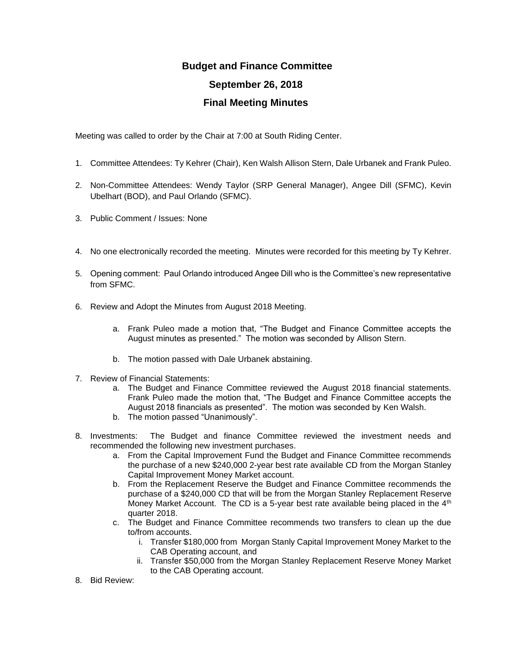## **Budget and Finance Committee September 26, 2018 Final Meeting Minutes**

Meeting was called to order by the Chair at 7:00 at South Riding Center.

- 1. Committee Attendees: Ty Kehrer (Chair), Ken Walsh Allison Stern, Dale Urbanek and Frank Puleo.
- 2. Non-Committee Attendees: Wendy Taylor (SRP General Manager), Angee Dill (SFMC), Kevin Ubelhart (BOD), and Paul Orlando (SFMC).
- 3. Public Comment / Issues: None
- 4. No one electronically recorded the meeting. Minutes were recorded for this meeting by Ty Kehrer.
- 5. Opening comment: Paul Orlando introduced Angee Dill who is the Committee's new representative from SFMC.
- 6. Review and Adopt the Minutes from August 2018 Meeting.
	- a. Frank Puleo made a motion that, "The Budget and Finance Committee accepts the August minutes as presented." The motion was seconded by Allison Stern.
	- b. The motion passed with Dale Urbanek abstaining.
- 7. Review of Financial Statements:
	- a. The Budget and Finance Committee reviewed the August 2018 financial statements. Frank Puleo made the motion that, "The Budget and Finance Committee accepts the August 2018 financials as presented". The motion was seconded by Ken Walsh.
	- b. The motion passed "Unanimously".
- 8. Investments: The Budget and finance Committee reviewed the investment needs and recommended the following new investment purchases.
	- a. From the Capital Improvement Fund the Budget and Finance Committee recommends the purchase of a new \$240,000 2-year best rate available CD from the Morgan Stanley Capital Improvement Money Market account.
	- b. From the Replacement Reserve the Budget and Finance Committee recommends the purchase of a \$240,000 CD that will be from the Morgan Stanley Replacement Reserve Money Market Account. The CD is a 5-year best rate available being placed in the  $4<sup>th</sup>$ quarter 2018.
	- c. The Budget and Finance Committee recommends two transfers to clean up the due to/from accounts.
		- i. Transfer \$180,000 from Morgan Stanly Capital Improvement Money Market to the CAB Operating account, and
		- ii. Transfer \$50,000 from the Morgan Stanley Replacement Reserve Money Market to the CAB Operating account.
- 8. Bid Review: